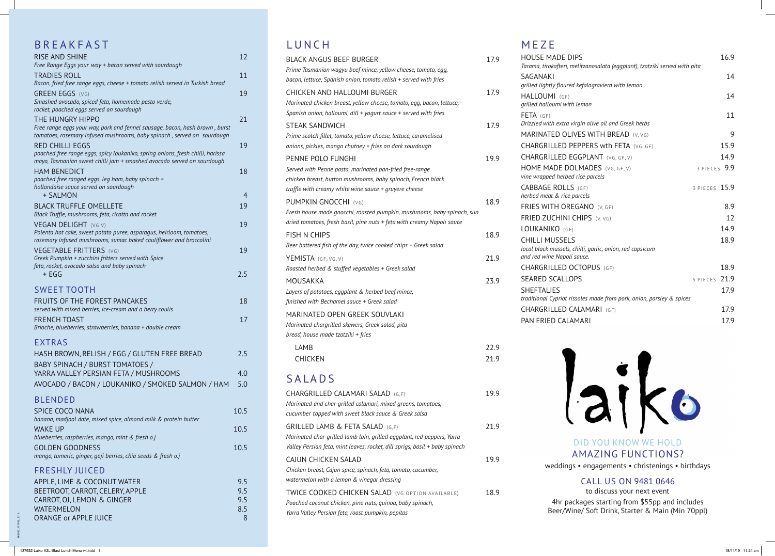662580\_137632\_1019

| <b>DIPS</b>                                              | 16.9          |
|----------------------------------------------------------|---------------|
| i, melitzanosalata (eggplant), tzatziki served with pita | 14            |
| ired kefalograviera with lemon                           |               |
| F)                                                       | 14            |
| vith lemon                                               |               |
|                                                          | 11            |
| a virgin olive oil and Greek herbs                       |               |
| <b>ILIVES WITH BREAD</b> (V, VG)                         | 9             |
| PEPPERS wth FETA (VG, GF)                                | 15.9          |
| <b>EGGPLANT</b> (VG, GF, V)                              | 14.9          |
| DOLMADES (VG, GF, V)                                     | 3 PIECES 9.9  |
| bed rice parcels                                         |               |
| $LS$ (GF)                                                | 3 PIECES 15.9 |
| ce parcels                                               |               |
| REGANO (V, GF)                                           | 8.9           |
| <b>II CHIPS</b> (V. VG)                                  | 12            |
| GF)                                                      | 14.9          |
| ELS                                                      | 18.9          |
| ls, chilli, garlic, onion, red capsicum<br>oli sauce.    |               |
| OCTOPUS (GF)                                             | 18.9          |
| LOPS                                                     | 5 PIECES 21.9 |
|                                                          | 17.9          |
| t rissoles made from pork, onion, parsley & spices       |               |
| CALAMARI (GF)                                            | 17.9          |
| LAMARI                                                   | 17.9          |
|                                                          |               |



### **DDEAVEACT**

| D N L A N F A J I                                                                                                                                      |            |
|--------------------------------------------------------------------------------------------------------------------------------------------------------|------------|
| <b>RISE AND SHINE</b><br>Free Range Eggs your way + bacon served with sourdough                                                                        | 12         |
| <b>TRADIES ROLL</b>                                                                                                                                    | 11         |
| Bacon, fried free range eggs, cheese + tomato relish served in Turkish bread<br><b>GREEN EGGS (VG)</b>                                                 | 19         |
| Smashed avocado, spiced feta, homemade pesto verde,<br>rocket, poached eggs served on sourdough                                                        |            |
| THE HUNGRY HIPPO                                                                                                                                       | 21         |
| Free range eggs your way, pork and fennel sausage, bacon, hash brown, burst<br>tomatoes, rosemary infused mushrooms, baby spinach, served on sourdough |            |
| <b>RED CHILLI EGGS</b><br>poached free range eggs, spicy loukaniko, spring onions, fresh chilli, harissa                                               | 19         |
| mayo, Tasmanian sweet chilli jam + smashed avocado served on sourdough                                                                                 |            |
| <b>HAM BENEDICT</b><br>poached free ranged eggs, leg ham, baby spinach +                                                                               | 18         |
| hollandaise sauce served on sourdough                                                                                                                  |            |
| + SALMON                                                                                                                                               | 4          |
| <b>BLACK TRUFFLE OMELLETE</b><br>Black Truffle, mushrooms, feta, ricotta and rocket                                                                    | 19         |
| <b>VEGAN DELIGHT (VG V)</b>                                                                                                                            | 19         |
| Polenta hot cake, sweet potato puree, asparagus, heirloom, tomatoes,                                                                                   |            |
| rosemary infused mushrooms, sumac baked cauliflower and broccolini<br><b>VEGETABLE FRITTERS</b> (VG)                                                   | 19         |
| Greek Pumpkin + zucchini fritters served with Spice                                                                                                    |            |
| feta, rocket, avocado salsa and baby spinach<br>+ EGG                                                                                                  | 2.5        |
|                                                                                                                                                        |            |
| <b>SWEET TOOTH</b>                                                                                                                                     |            |
| <b>FRUITS OF THE FOREST PANCAKES</b><br>served with mixed berries, ice-cream and a berry coulis                                                        | 18         |
| <b>FRENCH TOAST</b>                                                                                                                                    | 17         |
| Brioche, blueberries, strawberries, banana + double cream                                                                                              |            |
| <b>EXTRAS</b>                                                                                                                                          |            |
| HASH BROWN, RELISH / EGG / GLUTEN FREE BREAD                                                                                                           | 2.5        |
| BABY SPINACH / BURST TOMATOES /                                                                                                                        |            |
| YARRA VALLEY PERSIAN FETA / MUSHROOMS                                                                                                                  | 4.0        |
| AVOCADO / BACON / LOUKANIKO / SMOKED SALMON / HAM                                                                                                      | 5.0        |
| <b>BLENDED</b>                                                                                                                                         |            |
| <b>SPICE COCO NANA</b><br>banana, madjool date, mixed spice, almond milk & protein butter                                                              | 10.5       |
| <b>WAKE UP</b>                                                                                                                                         | 10.5       |
| blueberries, raspberries, mango, mint & fresh o.j                                                                                                      |            |
| <b>GOLDEN GOODNESS</b>                                                                                                                                 | 10.5       |
| mango, tumeric, ginger, goji berries, chia seeds & fresh o.j                                                                                           |            |
| <b>FRESHLY JUICED</b>                                                                                                                                  |            |
| APPLE, LIME & COCONUT WATER<br>BEETROOT, CARROT, CELERY, APPLE                                                                                         | 9.5<br>9.5 |
| CARROT, OJ, LEMON & GINGER                                                                                                                             | 9.5        |
| <b>WATERMELON</b>                                                                                                                                      | 8.5        |
| <b>ORANGE or APPLE JUICE</b>                                                                                                                           | 8          |

DID YOU KNOW WE HOLD AMAZING FUNCTIONS? weddings • engagements • christenings • birthdays

CALL US ON 9481 0646 to discuss your next event 4hr packages starting from \$55pp and includes Beer/Wine/ Soft Drink, Starter & Main (Min 70ppl)

### LUNCH

| LUNCH                                                                                                                                                                                                 |      | MEZE                                                                           |
|-------------------------------------------------------------------------------------------------------------------------------------------------------------------------------------------------------|------|--------------------------------------------------------------------------------|
| <b>BLACK ANGUS BEEF BURGER</b><br>Prime Tasmanian wagyu beef mince, yellow cheese, tomato, egg,<br>bacon, lettuce, Spanish onion, tomato relish + served with fries                                   | 17.9 | <b>HOUSE MADE</b><br>Tarama, tirokafteri<br><b>SAGANAKI</b>                    |
| <b>CHICKEN AND HALLOUMI BURGER</b><br>Marinated chicken breast, yellow cheese, tomato, egg, bacon, lettuce,<br>Spanish onion, halloumi, dill + yogurt sauce + served with fries                       | 17.9 | grilled lightly flou<br>HALLOUMI (GF<br>grilled halloumi w<br>$FETA$ (GF)      |
| <b>STEAK SANDWICH</b><br>Prime scotch fillet, tomato, yellow cheese, lettuce, caramelised<br>onions, pickles, mango chutney + fries on dark sourdough                                                 | 17.9 | Drizzled with extr<br>MARINATED O<br>CHARGRILLED                               |
| PENNE POLO FUNGHI<br>Served with Penne pasta, marinated pan-fried free-range<br>chicken breast, button mushrooms, baby spinach, French black<br>truffle with creamy white wine sauce + gruyere cheese | 19.9 | CHARGRILLED<br><b>HOME MADE I</b><br>vine wrapped herl<br><b>CABBAGE ROL</b>   |
| <b>PUMPKIN GNOCCHI (VG)</b><br>Fresh house made gnocchi, roasted pumpkin, mushrooms, baby spinach, sun<br>dried tomatoes, fresh basil, pine nuts + feta with creamy Napoli sauce                      | 18.9 | herbed meat & ric<br><b>FRIES WITH O</b><br><b>FRIED ZUCHIN</b>                |
| <b>FISH N CHIPS</b><br>Beer battered fish of the day, twice cooked chips + Greek salad                                                                                                                | 18.9 | LOUKANIKO (<br><b>CHILLI MUSSE</b><br>local black mussel                       |
| YEMISTA $(GF, VG, V)$<br>Roasted herbed & stuffed vegetables + Greek salad                                                                                                                            | 21.9 | and red wine Nap<br>CHARGRILLED                                                |
| MOUSAKKA<br>Layers of potatoes, eggplant & herbed beef mince,<br>finished with Bechamel sauce + Greek salad                                                                                           | 23.9 | <b>SEARED SCALI</b><br><b>SHEFTALIES</b><br>traditional Cypriot<br>CHARGRILLED |
| MARINATED OPEN GREEK SOUVLAKI<br>Marinated chargrilled skewers, Greek salad, pita<br>bread, house made tzatziki + fries                                                                               |      | PAN FRIED CA                                                                   |
| LAMB                                                                                                                                                                                                  | 22.9 |                                                                                |
| <b>CHICKEN</b>                                                                                                                                                                                        | 21.9 |                                                                                |
| SALADS                                                                                                                                                                                                |      |                                                                                |
| CHARGRILLED CALAMARI SALAD (G,F)<br>Marinated and char-grilled calamari, mixed greens, tomatoes,<br>cucumber topped with sweet black sauce & Greek salsa                                              | 19.9 |                                                                                |
| <b>GRILLED LAMB &amp; FETA SALAD (G,F)</b><br>Marinated char-grilled lamb loln, grilled eggplant, red peppers, Yarra<br>Valley Persian feta, mint leaves, rocket, dill sprigs, basil + baby spinach   | 21.9 |                                                                                |
| CAJUN CHICKEN SALAD<br>Chicken breast, Cajun spice, spinach, feta, tomato, cucumber,<br>watermelon with a lemon & vinegar dressing                                                                    | 19.9 | weddir                                                                         |
| TWICE COOKED CHICKEN SALAD (VG OPTION AVAILABLE)<br>Poached coconut chicken, pine nuts, quinoa, baby spinach,                                                                                         | 18.9 | $4hr$ p                                                                        |

*Yarra Valley Persian feta, roast pumpkin, pepitas*

137632 Laiko A3L Bfast Lunch Menu v4.indd 1 18/11/19 11:24 am